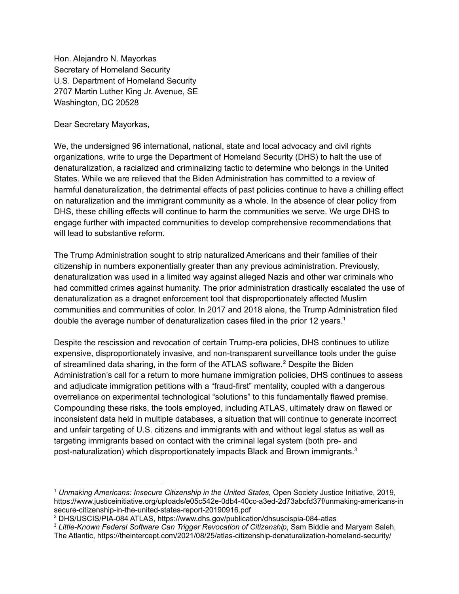Hon. Alejandro N. Mayorkas Secretary of Homeland Security U.S. Department of Homeland Security 2707 Martin Luther King Jr. Avenue, SE Washington, DC 20528

Dear Secretary Mayorkas,

We, the undersigned 96 international, national, state and local advocacy and civil rights organizations, write to urge the Department of Homeland Security (DHS) to halt the use of denaturalization, a racialized and criminalizing tactic to determine who belongs in the United States. While we are relieved that the Biden Administration has committed to a review of harmful denaturalization, the detrimental effects of past policies continue to have a chilling effect on naturalization and the immigrant community as a whole. In the absence of clear policy from DHS, these chilling effects will continue to harm the communities we serve. We urge DHS to engage further with impacted communities to develop comprehensive recommendations that will lead to substantive reform.

The Trump Administration sought to strip naturalized Americans and their families of their citizenship in numbers exponentially greater than any previous administration. Previously, denaturalization was used in a limited way against alleged Nazis and other war criminals who had committed crimes against humanity. The prior administration drastically escalated the use of denaturalization as a dragnet enforcement tool that disproportionately affected Muslim communities and communities of color. In 2017 and 2018 alone, the Trump Administration filed double the average number of denaturalization cases filed in the prior 12 years. 1

Despite the rescission and revocation of certain Trump-era policies, DHS continues to utilize expensive, disproportionately invasive, and non-transparent surveillance tools under the guise of streamlined data sharing, in the form of the ATLAS software. <sup>2</sup> Despite the Biden Administration's call for a return to more humane immigration policies, DHS continues to assess and adjudicate immigration petitions with a "fraud-first" mentality, coupled with a dangerous overreliance on experimental technological "solutions" to this fundamentally flawed premise. Compounding these risks, the tools employed, including ATLAS, ultimately draw on flawed or inconsistent data held in multiple databases, a situation that will continue to generate incorrect and unfair targeting of U.S. citizens and immigrants with and without legal status as well as targeting immigrants based on contact with the criminal legal system (both pre- and post-naturalization) which disproportionately impacts Black and Brown immigrants. 3

<sup>1</sup> *Unmaking Americans: Insecure Citizenship in the United States,* Open Society Justice Initiative, 2019, https://www.justiceinitiative.org/uploads/e05c542e-0db4-40cc-a3ed-2d73abcfd37f/unmaking-americans-in secure-citizenship-in-the-united-states-report-20190916.pdf

<sup>2</sup> DHS/USCIS/PIA-084 ATLAS, https://www.dhs.gov/publication/dhsuscispia-084-atlas

<sup>3</sup> *Little-Known Federal Software Can Trigger Revocation of Citizenship*, Sam Biddle and Maryam Saleh, The Atlantic, https://theintercept.com/2021/08/25/atlas-citizenship-denaturalization-homeland-security/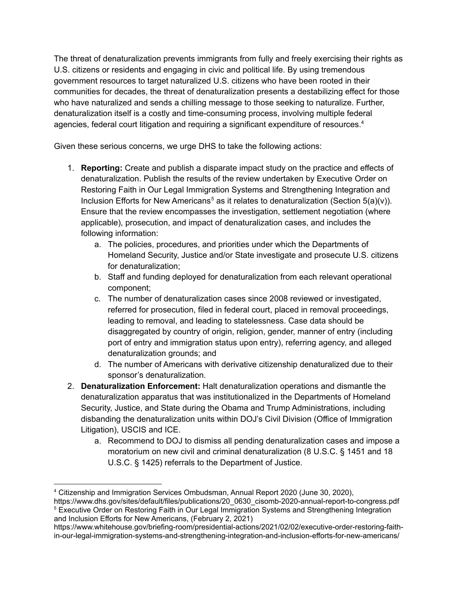The threat of denaturalization prevents immigrants from fully and freely exercising their rights as U.S. citizens or residents and engaging in civic and political life. By using tremendous government resources to target naturalized U.S. citizens who have been rooted in their communities for decades, the threat of denaturalization presents a destabilizing effect for those who have naturalized and sends a chilling message to those seeking to naturalize. Further, denaturalization itself is a costly and time-consuming process, involving multiple federal agencies, federal court litigation and requiring a significant expenditure of resources. 4

Given these serious concerns, we urge DHS to take the following actions:

- 1. **Reporting:** Create and publish a disparate impact study on the practice and effects of denaturalization. Publish the results of the review undertaken by Executive Order on Restoring Faith in Our Legal Immigration Systems and Strengthening Integration and Inclusion Efforts for New Americans<sup>5</sup> as it relates to denaturalization (Section 5(a)(v)). Ensure that the review encompasses the investigation, settlement negotiation (where applicable), prosecution, and impact of denaturalization cases, and includes the following information:
	- a. The policies, procedures, and priorities under which the Departments of Homeland Security, Justice and/or State investigate and prosecute U.S. citizens for denaturalization;
	- b. Staff and funding deployed for denaturalization from each relevant operational component;
	- c. The number of denaturalization cases since 2008 reviewed or investigated, referred for prosecution, filed in federal court, placed in removal proceedings, leading to removal, and leading to statelessness. Case data should be disaggregated by country of origin, religion, gender, manner of entry (including port of entry and immigration status upon entry), referring agency, and alleged denaturalization grounds; and
	- d. The number of Americans with derivative citizenship denaturalized due to their sponsor's denaturalization.
- 2. **Denaturalization Enforcement:** Halt denaturalization operations and dismantle the denaturalization apparatus that was institutionalized in the Departments of Homeland Security, Justice, and State during the Obama and Trump Administrations, including disbanding the denaturalization units within DOJ's Civil Division (Office of Immigration Litigation), USCIS and ICE.
	- a. Recommend to DOJ to dismiss all pending denaturalization cases and impose a moratorium on new civil and criminal denaturalization (8 U.S.C. § 1451 and 18 U.S.C. § 1425) referrals to the Department of Justice.

<sup>4</sup> Citizenship and Immigration Services Ombudsman, Annual Report 2020 (June 30, 2020),

<sup>&</sup>lt;sup>5</sup> Executive Order on Restoring Faith in Our Legal Immigration Systems and Strengthening Integration and Inclusion Efforts for New Americans, (February 2, 2021) https://www.dhs.gov/sites/default/files/publications/20\_0630\_cisomb-2020-annual-report-to-congress.pdf

https://www.whitehouse.gov/briefing-room/presidential-actions/2021/02/02/executive-order-restoring-faithin-our-legal-immigration-systems-and-strengthening-integration-and-inclusion-efforts-for-new-americans/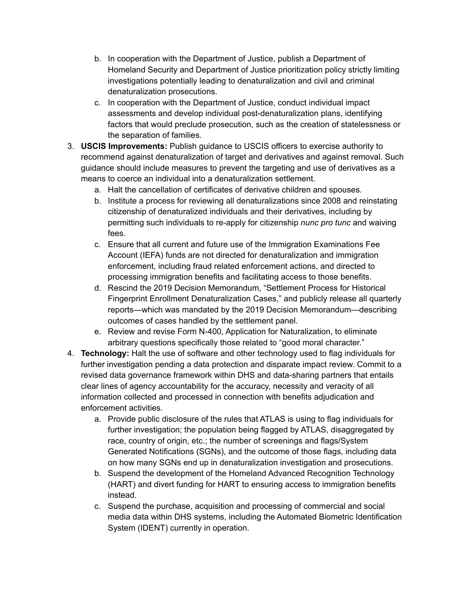- b. In cooperation with the Department of Justice, publish a Department of Homeland Security and Department of Justice prioritization policy strictly limiting investigations potentially leading to denaturalization and civil and criminal denaturalization prosecutions.
- c. In cooperation with the Department of Justice, conduct individual impact assessments and develop individual post-denaturalization plans, identifying factors that would preclude prosecution, such as the creation of statelessness or the separation of families.
- 3. **USCIS Improvements:** Publish guidance to USCIS officers to exercise authority to recommend against denaturalization of target and derivatives and against removal. Such guidance should include measures to prevent the targeting and use of derivatives as a means to coerce an individual into a denaturalization settlement.
	- a. Halt the cancellation of certificates of derivative children and spouses.
	- b. Institute a process for reviewing all denaturalizations since 2008 and reinstating citizenship of denaturalized individuals and their derivatives, including by permitting such individuals to re-apply for citizenship *nunc pro tunc* and waiving fees.
	- c. Ensure that all current and future use of the Immigration Examinations Fee Account (IEFA) funds are not directed for denaturalization and immigration enforcement, including fraud related enforcement actions, and directed to processing immigration benefits and facilitating access to those benefits.
	- d. Rescind the 2019 Decision Memorandum, "Settlement Process for Historical Fingerprint Enrollment Denaturalization Cases," and publicly release all quarterly reports—which was mandated by the 2019 Decision Memorandum—describing outcomes of cases handled by the settlement panel.
	- e. Review and revise Form N-400, Application for Naturalization, to eliminate arbitrary questions specifically those related to "good moral character."
- 4. **Technology:** Halt the use of software and other technology used to flag individuals for further investigation pending a data protection and disparate impact review. Commit to a revised data governance framework within DHS and data-sharing partners that entails clear lines of agency accountability for the accuracy, necessity and veracity of all information collected and processed in connection with benefits adjudication and enforcement activities.
	- a. Provide public disclosure of the rules that ATLAS is using to flag individuals for further investigation; the population being flagged by ATLAS, disaggregated by race, country of origin, etc.; the number of screenings and flags/System Generated Notifications (SGNs), and the outcome of those flags, including data on how many SGNs end up in denaturalization investigation and prosecutions.
	- b. Suspend the development of the Homeland Advanced Recognition Technology (HART) and divert funding for HART to ensuring access to immigration benefits instead.
	- c. Suspend the purchase, acquisition and processing of commercial and social media data within DHS systems, including the Automated Biometric Identification System (IDENT) currently in operation.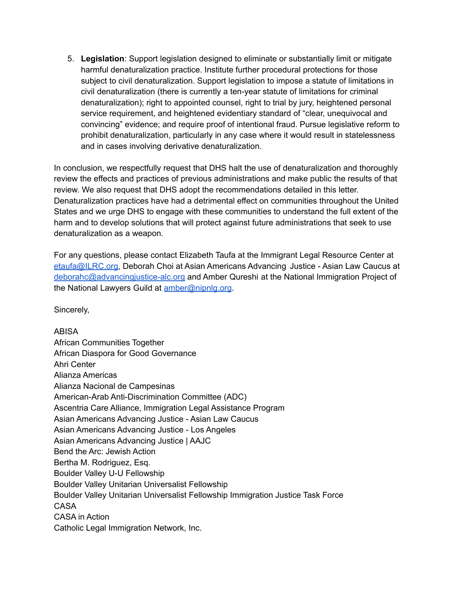5. **Legislation**: Support legislation designed to eliminate or substantially limit or mitigate harmful denaturalization practice. Institute further procedural protections for those subject to civil denaturalization. Support legislation to impose a statute of limitations in civil denaturalization (there is currently a ten-year statute of limitations for criminal denaturalization); right to appointed counsel, right to trial by jury, heightened personal service requirement, and heightened evidentiary standard of "clear, unequivocal and convincing" evidence; and require proof of intentional fraud. Pursue legislative reform to prohibit denaturalization, particularly in any case where it would result in statelessness and in cases involving derivative denaturalization.

In conclusion, we respectfully request that DHS halt the use of denaturalization and thoroughly review the effects and practices of previous administrations and make public the results of that review. We also request that DHS adopt the recommendations detailed in this letter. Denaturalization practices have had a detrimental effect on communities throughout the United States and we urge DHS to engage with these communities to understand the full extent of the harm and to develop solutions that will protect against future administrations that seek to use denaturalization as a weapon.

For any questions, please contact Elizabeth Taufa at the Immigrant Legal Resource Center at [etaufa@ILRC.org,](mailto:etaufa@ILRC.org) Deborah Choi at Asian Americans Advancing Justice - Asian Law Caucus at [deborahc@advancingjustice-alc.org](mailto:deborahc@advancingjustice-alc.org) and Amber Qureshi at the National Immigration Project of the National Lawyers Guild at [amber@nipnlg.org](mailto:amber@nipnlg.org).

Sincerely,

ABISA African Communities Together African Diaspora for Good Governance Ahri Center Alianza Americas Alianza Nacional de Campesinas American-Arab Anti-Discrimination Committee (ADC) Ascentria Care Alliance, Immigration Legal Assistance Program Asian Americans Advancing Justice - Asian Law Caucus Asian Americans Advancing Justice - Los Angeles Asian Americans Advancing Justice | AAJC Bend the Arc: Jewish Action Bertha M. Rodriguez, Esq. Boulder Valley U-U Fellowship Boulder Valley Unitarian Universalist Fellowship Boulder Valley Unitarian Universalist Fellowship Immigration Justice Task Force CASA CASA in Action Catholic Legal Immigration Network, Inc.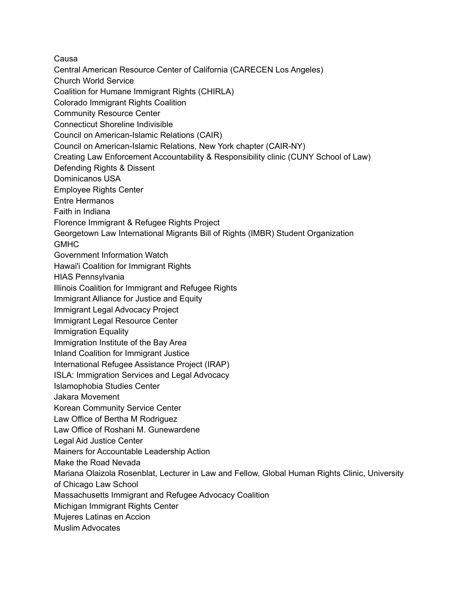Causa

- Central American Resource Center of California (CARECEN Los Angeles)
- Church World Service
- Coalition for Humane Immigrant Rights (CHIRLA)
- Colorado Immigrant Rights Coalition
- Community Resource Center
- Connecticut Shoreline Indivisible
- Council on American-Islamic Relations (CAIR)
- Council on American-Islamic Relations, New York chapter (CAIR-NY)
- Creating Law Enforcement Accountability & Responsibility clinic (CUNY School of Law)
- Defending Rights & Dissent
- Dominicanos USA
- Employee Rights Center
- Entre Hermanos
- Faith in Indiana
- Florence Immigrant & Refugee Rights Project
- Georgetown Law International Migrants Bill of Rights (IMBR) Student Organization
- GMHC
- Government Information Watch
- Hawai'i Coalition for Immigrant Rights
- HIAS Pennsylvania
- Illinois Coalition for Immigrant and Refugee Rights
- Immigrant Alliance for Justice and Equity
- Immigrant Legal Advocacy Project
- Immigrant Legal Resource Center
- Immigration Equality
- Immigration Institute of the Bay Area
- Inland Coalition for Immigrant Justice
- International Refugee Assistance Project (IRAP)
- ISLA: Immigration Services and Legal Advocacy
- Islamophobia Studies Center
- Jakara Movement
- Korean Community Service Center
- Law Office of Bertha M Rodriguez
- Law Office of Roshani M. Gunewardene
- Legal Aid Justice Center
- Mainers for Accountable Leadership Action
- Make the Road Nevada
- Mariana Olaizola Rosenblat, Lecturer in Law and Fellow, Global Human Rights Clinic, University
- of Chicago Law School
- Massachusetts Immigrant and Refugee Advocacy Coalition
- Michigan Immigrant Rights Center
- Mujeres Latinas en Accion
- Muslim Advocates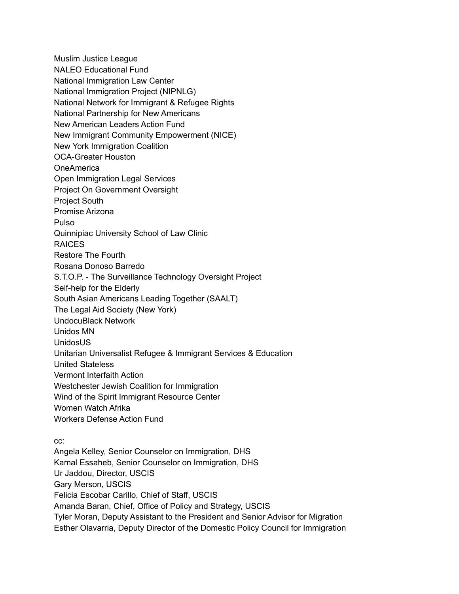Muslim Justice League NALEO Educational Fund National Immigration Law Center National Immigration Project (NIPNLG) National Network for Immigrant & Refugee Rights National Partnership for New Americans New American Leaders Action Fund New Immigrant Community Empowerment (NICE) New York Immigration Coalition OCA-Greater Houston OneAmerica Open Immigration Legal Services Project On Government Oversight Project South Promise Arizona Pulso Quinnipiac University School of Law Clinic RAICES Restore The Fourth Rosana Donoso Barredo S.T.O.P. - The Surveillance Technology Oversight Project Self-help for the Elderly South Asian Americans Leading Together (SAALT) The Legal Aid Society (New York) UndocuBlack Network Unidos MN UnidosUS Unitarian Universalist Refugee & Immigrant Services & Education United Stateless Vermont Interfaith Action Westchester Jewish Coalition for Immigration Wind of the Spirit Immigrant Resource Center Women Watch Afrika Workers Defense Action Fund

cc:

Angela Kelley, Senior Counselor on Immigration, DHS Kamal Essaheb, Senior Counselor on Immigration, DHS Ur Jaddou, Director, USCIS Gary Merson, USCIS Felicia Escobar Carillo, Chief of Staff, USCIS Amanda Baran, Chief, Office of Policy and Strategy, USCIS Tyler Moran, Deputy Assistant to the President and Senior Advisor for Migration Esther Olavarria, Deputy Director of the Domestic Policy Council for Immigration